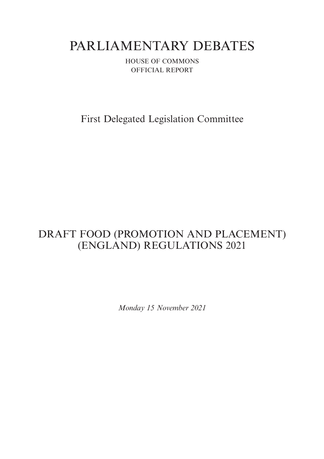# PARLIAMENTARY DEBATES

HOUSE OF COMMONS OFFICIAL REPORT

First Delegated Legislation Committee

## DRAFT FOOD (PROMOTION AND PLACEMENT) (ENGLAND) REGULATIONS 2021

*Monday 15 November 2021*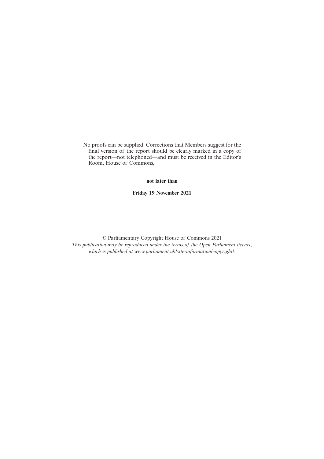No proofs can be supplied. Corrections that Members suggest for the final version of the report should be clearly marked in a copy of the report—not telephoned—and must be received in the Editor's Room, House of Commons,

#### **not later than**

**Friday 19 November 2021**

© Parliamentary Copyright House of Commons 2021 *This publication may be reproduced under the terms of the Open Parliament licence, which is published at www.parliament.uk/site-information/copyright/.*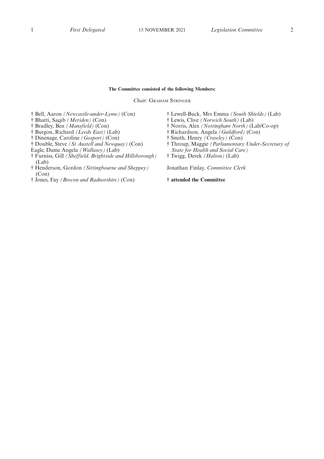#### **The Committee consisted of the following Members:**

*Chair:* GRAHAM STRINGER

- † Bell, Aaron *(Newcastle-under-Lyme)* (Con)
- † Bhatti, Saqib *(Meriden)* (Con)
- † Bradley, Ben *(Mansfield)* (Con)
- † Burgon, Richard *(Leeds East)* (Lab)
- † Dinenage, Caroline *(Gosport)* (Con)
- † Double, Steve *(St Austell and Newquay)* (Con)
- Eagle, Dame Angela *(Wallasey)* (Lab)
- † Furniss, Gill *(Sheffield, Brightside and Hillsborough)* (Lab)
- † Henderson, Gordon *(Sittingbourne and Sheppey)* (Con)
- † Jones, Fay *(Brecon and Radnorshire)* (Con)
- † Lewell-Buck, Mrs Emma *(South Shields)* (Lab)
- † Lewis, Clive *(Norwich South)* (Lab)
- † Norris, Alex *(Nottingham North)* (Lab/Co-op)
- † Richardson, Angela *(Guildford)* (Con)
- † Smith, Henry *(Crawley)* (Con)
- † Throup, Maggie *(Parliamentary Under-Secretary of State for Health and Social Care)*
- † Twigg, Derek *(Halton)* (Lab)

Jonathan Finlay, *Committee Clerk*

**† attended the Committee**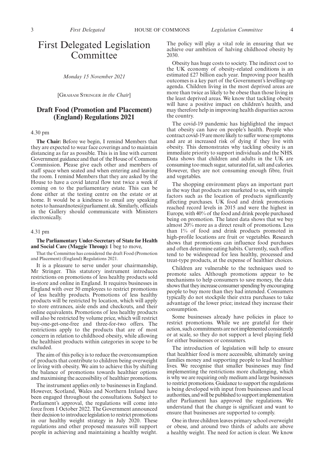### First Delegated Legislation Committee

*Monday 15 November 2021*

[GRAHAM STRINGER *in the Chair*]

#### **Draft Food (Promotion and Placement) (England) Regulations 2021**

#### 4.30 pm

**The Chair:** Before we begin, I remind Members that they are expected to wear face coverings and to maintain distancing as far as possible. This is in line with current Government guidance and that of the House of Commons Commission. Please give each other and members of staff space when seated and when entering and leaving the room. I remind Members that they are asked by the House to have a covid lateral flow test twice a week if coming on to the parliamentary estate. This can be done either at the testing centre on the estate or at home. It would be a kindness to email any speaking notes to hansardnotes@parliament.uk. Similarly, officials in the Gallery should communicate with Ministers electronically.

#### 4.31 pm

#### **The Parliamentary Under-Secretary of State for Health and Social Care (Maggie Throup):** I beg to move,

That the Committee has considered the draft Food (Promotion and Placement) (England) Regulations 2021.

It is a pleasure to serve under your chairmanship, Mr Stringer. This statutory instrument introduces restrictions on promotions of less healthy products sold in-store and online in England. It requires businesses in England with over 50 employees to restrict promotions of less healthy products. Promotions of less healthy products will be restricted by location, which will apply to store entrances, aisle ends and checkouts, and their online equivalents. Promotions of less healthy products will also be restricted by volume price, which will restrict buy-one-get-one-free and three-for-two offers. The restrictions apply to the products that are of most concern in relation to childhood obesity, while allowing the healthiest products within categories in scope to be excluded.

The aim of this policy is to reduce the overconsumption of products that contribute to children being overweight or living with obesity. We aim to achieve this by shifting the balance of promotions towards healthier options and maximising the accessibility of healthier promotions.

The instrument applies only to businesses in England. However, Scotland, Wales and Northern Ireland have been engaged throughout the consultations. Subject to Parliament's approval, the regulations will come into force from 1 October 2022. The Government announced their decision to introduce legislation to restrict promotions in our healthy weight strategy in July 2020. These regulations and other proposed measures will support people in achieving and maintaining a healthy weight. The policy will play a vital role in ensuring that we achieve our ambition of halving childhood obesity by 2030.

Obesity has huge costs to society. The indirect cost to the UK economy of obesity-related conditions is an estimated £27 billion each year. Improving poor health outcomes is a key part of the Government's levelling-up agenda. Children living in the most deprived areas are more than twice as likely to be obese than those living in the least deprived areas. We know that tackling obesity will have a positive impact on children's health, and may therefore help in improving health disparities across the country.

The covid-19 pandemic has highlighted the impact that obesity can have on people's health. People who contract covid-19 are more likely to suffer worse symptoms and are at increased risk of dying if they live with obesity. This demonstrates why tackling obesity is an immediate priority to support individuals and the NHS. Data shows that children and adults in the UK are consuming too much sugar, saturated fat, salt and calories. However, they are not consuming enough fibre, fruit and vegetables.

The shopping environment plays an important part in the way that products are marketed to us, with simple factors such as the location of products significantly affecting purchases. UK food and drink promotions reached record levels in 2015 and were the highest in Europe, with 40% of the food and drink people purchased being on promotion. The latest data shows that we buy almost 20% more as a direct result of promotions. Less than 1% of food and drink products promoted in high-profile locations are fruit or vegetables. Research shows that promotions can influence food purchases and often determine eating habits. Currently, such offers tend to be widespread for less healthy, processed and treat-type products, at the expense of healthier choices.

Children are vulnerable to the techniques used to promote sales. Although promotions appear to be mechanisms to help consumers to save money, the data shows that they increase consumer spending by encouraging people to buy more than they had intended. Consumers typically do not stockpile their extra purchases to take advantage of the lower price; instead they increase their consumption.

Some businesses already have policies in place to restrict promotions. While we are grateful for their action, such commitments are not implemented consistently or at scale, so they do not support a level playing field for either businesses or consumers.

The introduction of legislation will help to ensure that healthier food is more accessible, ultimately saving families money and supporting people to lead healthier lives. We recognise that smaller businesses may find implementing the restrictions more challenging, which is why we are requiring only medium and large businesses to restrict promotions. Guidance to support the regulations is being developed with input from businesses and local authorities, and will be published to support implementation after Parliament has approved the regulations. We understand that the change is significant and want to ensure that businesses are supported to comply.

One in three children leaves primary school overweight or obese, and around two thirds of adults are above a healthy weight. The need for action is clear. We know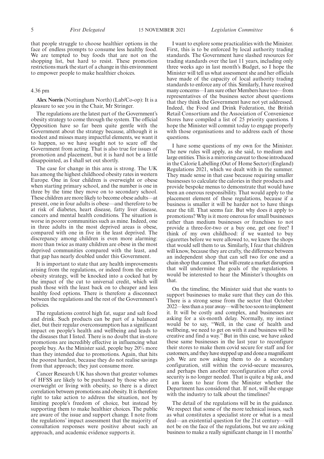that people struggle to choose healthier options in the face of endless prompts to consume less healthy food. We are tempted to buy foods that are not on the shopping list, but hard to resist. These promotion restrictions mark the start of a change in this environment to empower people to make healthier choices.

#### 4.36 pm

**Alex Norris** (Nottingham North) (Lab/Co-op): It is a pleasure to see you in the Chair, Mr Stringer.

The regulations are the latest part of the Government's obesity strategy to come through the system. The official Opposition have so far been quite gentle with the Government about the strategy because, although it is modest and misses many impactful elements, we want it to happen, so we have sought not to scare off the Government from acting. That is also true for issues of promotion and placement, but it is hard not be a little disappointed, as I shall set out shortly.

The case for change in this area is strong. The UK has among the highest childhood obesity rates in western Europe. One in four children is overweight or obese when starting primary school, and the number is one in three by the time they move on to secondary school. These children are more likely to become obese adults—at present, one in four adults is obese—and therefore to be at risk of diabetes, heart disease, fatty liver disease, cancers and mental health conditions. The situation is worse in poorer communities such as mine. Indeed, one in three adults in the most deprived areas is obese, compared with one in five in the least deprived. The discrepancy among children is even more alarming: more than twice as many children are obese in the most deprived communities compared with the least, and that gap has nearly doubled under this Government.

It is important to state that any health improvements arising from the regulations, or indeed from the entire obesity strategy, will be knocked into a cocked hat by the impact of the cut to universal credit, which will push those with the least back on to cheaper and less healthy food options. There is therefore a disconnect between the regulations and the rest of the Government's policies.

The regulations control high fat, sugar and salt food and drink. Such products can be part of a balanced diet, but their regular overconsumption has a significant impact on people's health and wellbeing and leads to the diseases that I listed. There is no doubt that in-store promotions are incredibly effective in influencing what people buy. As the Minister said, people buy 20% more than they intended due to promotions. Again, that hits the poorest hardest, because they do not realise savings from that approach; they just consume more.

Cancer Research UK has shown that greater volumes of HFSS are likely to be purchased by those who are overweight or living with obesity, so there is a direct correlation between promotions and obesity. It is therefore right to take action to address the situation, not by limiting people's freedom of choice, but instead by supporting them to make healthier choices. The public are aware of the issue and support change. I note from the regulations' impact assessment that the majority of consultation responses were positive about such an approach, and academic evidence supports it.

I want to explore some practicalities with the Minister. First, this is to be enforced by local authority trading standards. The Government have slashed resources for trading standards over the last 11 years, including only three weeks ago in last month's Budget, so I hope the Minister will tell us what assessment she and her officials have made of the capacity of local authority trading standards to enforce any of this. Similarly, I have received many concerns—I am sure other Members have too—from representatives of the business sector about questions that they think the Government have not yet addressed. Indeed, the Food and Drink Federation, the British Retail Consortium and the Association of Convenience Stores have compiled a list of 25 priority questions. I hope the Minister will commit today to engage properly with those organisations and to address each of those questions.

I have some questions of my own for the Minister. The new rules will apply, as she said, to medium and large entities. This is a mirroring caveat to those introduced in the Calorie Labelling (Out of Home Sector) (England) Regulations 2021, which we dealt with in the summer. They made sense in that case because requiring smaller businesses to calculate the calories in their products and provide bespoke menus to demonstrate that would have been an onerous responsibility. That would apply to the placement element of these regulations, because if a business is smaller it will be harder not to have things near the till. That seems fair. But why does it apply to promotions? Why is it more onerous for small businesses rather than medium businesses or franchises to not provide a three-for-two or a buy one, get one free? I think of my own childhood: if we wanted to buy cigarettes before we were allowed to, we knew the shops that would sell them to us. Similarly, I fear that children will know, because they are crafty, the difference between an independent shop that can sell two for one and a chain shop that cannot. That will create a market disruption that will undermine the goals of the regulations. I would be interested to hear the Minister's thoughts on that.

On the timeline, the Minister said that she wants to support businesses to make sure that they can do this. There is a strong sense from the sector that October 2022—less than a year away—will be too soon to implement it. It will be costly and complex, and businesses are asking for a six-month delay. Normally, my instinct would be to say, "Well, in the case of health and wellbeing, we need to get on with it and business will be creative and find a way." But in this case, we have asked these same businesses in the last year to reconfigure their stores to make them covid secure for staff and for customers, and they have stepped up and done a magnificent job. We are now asking them to do a secondary configuration, still within the covid-secure measures, and perhaps then another reconfiguration after covid security is no longer needed. That is quite a big ask, and I am keen to hear from the Minister whether the Department has considered that. If not, will she engage with the industry to talk about the timelines?

The detail of the regulations will be in the guidance. We respect that some of the more technical issues, such as what constitutes a specialist store or what is a meal deal—an existential question for the 21st century—will not be on the face of the regulations, but we are asking business to make a really significant change in 11 months'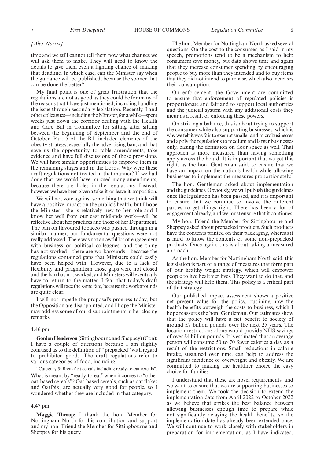#### *[Alex Norris]*

time and we still cannot tell them now what changes we will ask them to make. They will need to know the details to give them even a fighting chance of making that deadline. In which case, can the Minister say when the guidance will be published, because the sooner that can be done the better?

My final point is one of great frustration that the regulations are not as good as they could be for many of the reasons that I have just mentioned, including handling the issue through secondary legislation. Recently, I and other colleagues—including the Minister, for a while—spent weeks just down the corridor dealing with the Health and Care Bill in Committee for sitting after sitting between the beginning of September and the end of October. Part 5 of the Bill included elements of the obesity strategy, especially the advertising ban, and that gave us the opportunity to table amendments, take evidence and have full discussions of those provisions. We will have similar opportunities to improve them in the remaining stages and in the Lords. Why were these draft regulations not treated in that manner? If we had done that, we would have pursued many amendments, because there are holes in the regulations. Instead, however, we have been given a take-it-or-leave-it proposition.

We will not vote against something that we think will have a positive impact on the public's health, but I hope the Minister—she is relatively new to her role and I know her well from our east midlands work—will be reflective about her practices and those of her Department. The ban on flavoured tobacco was pushed through in a similar manner, but fundamental questions were not really addressed. There was not an awful lot of engagement with business or political colleagues, and the thing has not worked—there are workarounds—because the regulations contained gaps that Ministers could easily have been helped with. However, due to a lack of flexibility and pragmatism those gaps were not closed and the ban has not worked, and Ministers will eventually have to return to the matter. I fear that today's draft regulations will face the same fate, because the workarounds are quite clear.

I will not impede the proposal's progress today, but the Opposition are disappointed, and I hope the Minister may address some of our disappointments in her closing remarks.

#### 4.46 pm

**Gordon Henderson** (Sittingbourne and Sheppey) (Con): I have a couple of questions because I am slightly confused as to the definition of "prepacked" with regard to prohibited goods. The draft regulations refer to various categories of food, including

"Category 3: Breakfast cereals including ready-to-eat cereals". What is meant by "ready-to-eat" when it comes to "other oat-based cereals"? Oat-based cereals, such as oat flakes and Oatibix, are actually very good for people, so I wondered whether they are included in that category.

#### 4.47 pm

**Maggie Throup:** I thank the hon. Member for Nottingham North for his contribution and support and my hon. Friend the Member for Sittingbourne and Sheppey for his query.

The hon. Member for Nottingham North asked several questions. On the cost to the consumer, as I said in my speech, promotions tend to be a mechanism to help consumers save money, but data shows time and again that they increase consumer spending by encouraging people to buy more than they intended and to buy items that they did not intend to purchase, which also increases their consumption.

On enforcement, the Government are committed to ensure that enforcement of regulated policies is proportionate and fair and to support local authorities and the judicial system with any additional costs they incur as a result of enforcing these powers.

On striking a balance, this is about trying to support the consumer while also supporting businesses, which is why we felt it was fair to exempt smaller and microbusinesses and apply the regulations to medium and larger businesses only, basing the definition on floor space as well. That approach is more measured than having something apply across the board. It is important that we get this right, as the hon. Gentleman said, to ensure that we have an impact on the nation's health while allowing businesses to implement the measures proportionately.

The hon. Gentleman asked about implementation and the guidelines. Obviously, we will publish the guidelines once the legislation has been passed, and it is important to ensure that we continue to involve the different parties to get things right. There has been a lot of engagement already, and we must ensure that it continues.

My hon. Friend the Member for Sittingbourne and Sheppey asked about prepacked products. Such products have the contents printed on their packaging, whereas it is hard to know the contents of some non-prepacked products. Once again, this is about taking a measured approach.

As the hon. Member for Nottingham North said, this legislation is part of a range of measures that form part of our healthy weight strategy, which will empower people to live healthier lives. They want to do that, and the strategy will help them. This policy is a critical part of that strategy.

Our published impact assessment shows a positive net present value for the policy, outlining how the health benefits outweigh the costs to business, which I hope reassures the hon. Gentleman. Our estimates show that the policy will have a net benefit to society of around £7 billion pounds over the next 25 years. The location restrictions alone would provide NHS savings of over £4 billion pounds. It is estimated that an average person will consume 50 to 70 fewer calories a day as a result of the restrictions. Small reductions in calorie intake, sustained over time, can help to address the significant incidence of overweight and obesity. We are committed to making the healthier choice the easy choice for families.

I understand that these are novel requirements, and we want to ensure that we are supporting businesses to implement them. We took the decision to extend the implementation date from April 2022 to October 2022 as we believe that strikes the best balance between allowing businesses enough time to prepare while not significantly delaying the health benefits, so the implementation date has already been extended once. We will continue to work closely with stakeholders in preparation for implementation, as I have indicated,